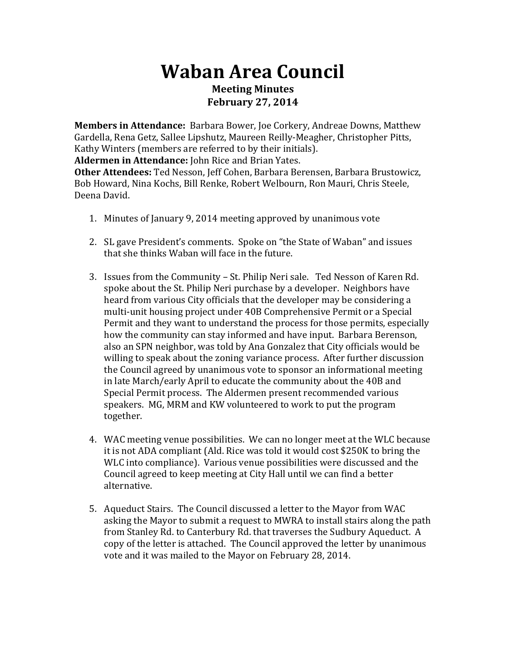## **Waban Area Council Meeting Minutes February 27, 2014**

**Members in Attendance:** Barbara Bower, Joe Corkery, Andreae Downs, Matthew Gardella, Rena Getz, Sallee Lipshutz, Maureen Reilly-Meagher, Christopher Pitts, Kathy Winters (members are referred to by their initials). **Aldermen in Attendance:** John Rice and Brian Yates. **Other Attendees:** Ted Nesson, Jeff Cohen, Barbara Berensen, Barbara Brustowicz, Bob Howard, Nina Kochs, Bill Renke, Robert Welbourn, Ron Mauri, Chris Steele,

- Deena David.
	- 1. Minutes of January 9, 2014 meeting approved by unanimous vote
	- 2. SL gave President's comments. Spoke on "the State of Waban" and issues that she thinks Waban will face in the future.
	- 3. Issues from the Community St. Philip Neri sale. Ted Nesson of Karen Rd. spoke about the St. Philip Neri purchase by a developer. Neighbors have heard from various City officials that the developer may be considering a multi-unit housing project under 40B Comprehensive Permit or a Special Permit and they want to understand the process for those permits, especially how the community can stay informed and have input. Barbara Berenson, also an SPN neighbor, was told by Ana Gonzalez that City officials would be willing to speak about the zoning variance process. After further discussion the Council agreed by unanimous vote to sponsor an informational meeting in late March/early April to educate the community about the 40B and Special Permit process. The Aldermen present recommended various speakers. MG, MRM and KW volunteered to work to put the program together.
	- 4. WAC meeting venue possibilities. We can no longer meet at the WLC because it is not ADA compliant (Ald. Rice was told it would cost \$250K to bring the WLC into compliance). Various venue possibilities were discussed and the Council agreed to keep meeting at City Hall until we can find a better alternative.
	- 5. Aqueduct Stairs. The Council discussed a letter to the Mayor from WAC asking the Mayor to submit a request to MWRA to install stairs along the path from Stanley Rd. to Canterbury Rd. that traverses the Sudbury Aqueduct. A copy of the letter is attached. The Council approved the letter by unanimous vote and it was mailed to the Mayor on February 28, 2014.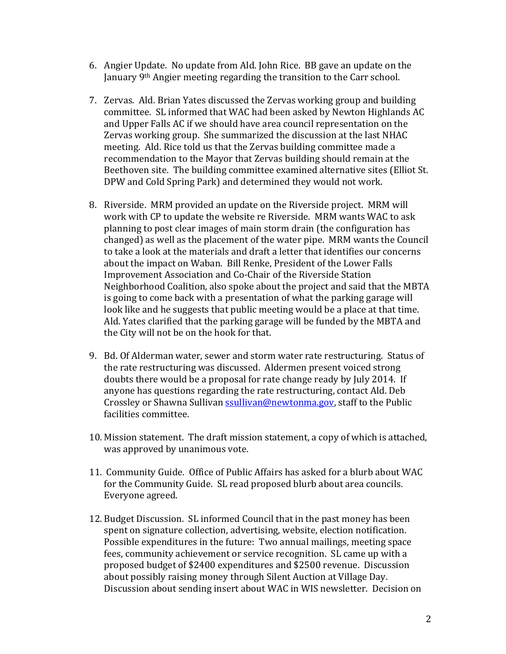- 6. Angier Update. No update from Ald. John Rice. BB gave an update on the January 9<sup>th</sup> Angier meeting regarding the transition to the Carr school.
- 7. Zervas. Ald. Brian Yates discussed the Zervas working group and building committee. SL informed that WAC had been asked by Newton Highlands AC and Upper Falls AC if we should have area council representation on the Zervas working group. She summarized the discussion at the last NHAC meeting. Ald. Rice told us that the Zervas building committee made a recommendation to the Mayor that Zervas building should remain at the Beethoven site. The building committee examined alternative sites (Elliot St. DPW and Cold Spring Park) and determined they would not work.
- 8. Riverside. MRM provided an update on the Riverside project. MRM will work with CP to update the website re Riverside. MRM wants WAC to ask planning to post clear images of main storm drain (the configuration has changed) as well as the placement of the water pipe. MRM wants the Council to take a look at the materials and draft a letter that identifies our concerns about the impact on Waban. Bill Renke, President of the Lower Falls Improvement Association and Co-Chair of the Riverside Station Neighborhood Coalition, also spoke about the project and said that the MBTA is going to come back with a presentation of what the parking garage will look like and he suggests that public meeting would be a place at that time. Ald. Yates clarified that the parking garage will be funded by the MBTA and the City will not be on the hook for that.
- 9. Bd. Of Alderman water, sewer and storm water rate restructuring. Status of the rate restructuring was discussed. Aldermen present voiced strong doubts there would be a proposal for rate change ready by July 2014. If anyone has questions regarding the rate restructuring, contact Ald. Deb Crossley or Shawna Sullivan ssullivan@newtonma.gov, staff to the Public facilities committee.
- 10. Mission statement. The draft mission statement, a copy of which is attached, was approved by unanimous vote.
- 11. Community Guide. Office of Public Affairs has asked for a blurb about WAC for the Community Guide. SL read proposed blurb about area councils. Everyone agreed.
- 12. Budget Discussion. SL informed Council that in the past money has been spent on signature collection, advertising, website, election notification. Possible expenditures in the future: Two annual mailings, meeting space fees, community achievement or service recognition. SL came up with a proposed budget of \$2400 expenditures and \$2500 revenue. Discussion about possibly raising money through Silent Auction at Village Day. Discussion about sending insert about WAC in WIS newsletter. Decision on